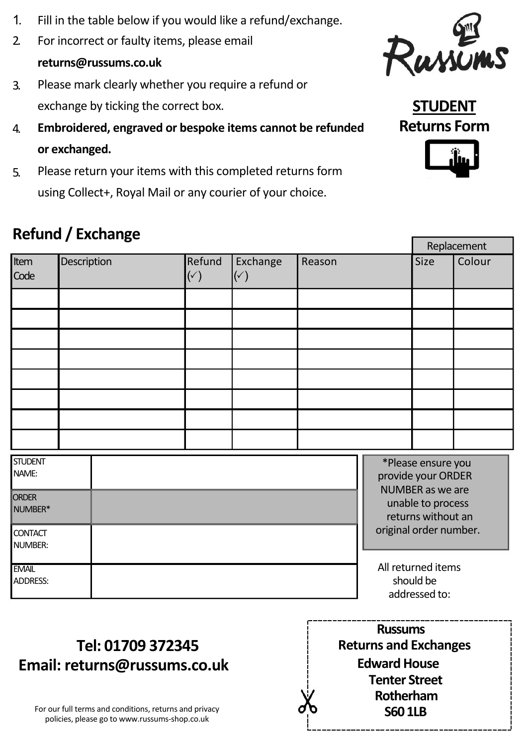- 1. Fill in the table below if you would like a refund/exchange.
- 2. For incorrect or faulty items, please email **returns@russums.co.uk**
- 3. Please mark clearly whether you require a refund or exchange by ticking the correct box.
- 4. **Embroidered, engraved or bespoke items cannot be refunded or exchanged.**
- 5. Please return your items with this completed returns form using Collect+, Royal Mail or any courier of your choice.

## **Refund / Exchange**

|                                  |             |  |                          |                            |        | Replacement                                      |                                                                     |        |  |
|----------------------------------|-------------|--|--------------------------|----------------------------|--------|--------------------------------------------------|---------------------------------------------------------------------|--------|--|
| Item<br>Code                     | Description |  | Refund<br>$(\check{ }')$ | Exchange<br>$(\check{ }')$ | Reason |                                                  | Size                                                                | Colour |  |
|                                  |             |  |                          |                            |        |                                                  |                                                                     |        |  |
|                                  |             |  |                          |                            |        |                                                  |                                                                     |        |  |
|                                  |             |  |                          |                            |        |                                                  |                                                                     |        |  |
|                                  |             |  |                          |                            |        |                                                  |                                                                     |        |  |
|                                  |             |  |                          |                            |        |                                                  |                                                                     |        |  |
|                                  |             |  |                          |                            |        |                                                  |                                                                     |        |  |
|                                  |             |  |                          |                            |        |                                                  |                                                                     |        |  |
|                                  |             |  |                          |                            |        |                                                  |                                                                     |        |  |
| <b>STUDENT</b><br>NAME:          |             |  |                          |                            |        |                                                  | *Please ensure you<br>provide your ORDER<br><b>NUMBER</b> as we are |        |  |
| <b>ORDER</b><br>NUMBER*          |             |  |                          |                            |        | unable to process<br>returns without an          |                                                                     |        |  |
| <b>CONTACT</b><br><b>NUMBER:</b> |             |  |                          | original order number.     |        |                                                  |                                                                     |        |  |
| <b>EMAIL</b><br><b>ADDRESS:</b>  |             |  |                          |                            |        | All returned items<br>should be<br>addressed to: |                                                                     |        |  |



**STUDENT Returns Form** 



**Tel: 01709 372345 Email: returns@russums.co.uk** 

**Russums Returns and Exchanges Edward House Tenter Street Rotherham S60 1LB** 

For our full terms and conditions, returns and privacy policies, please go to www.russums-shop.co.uk